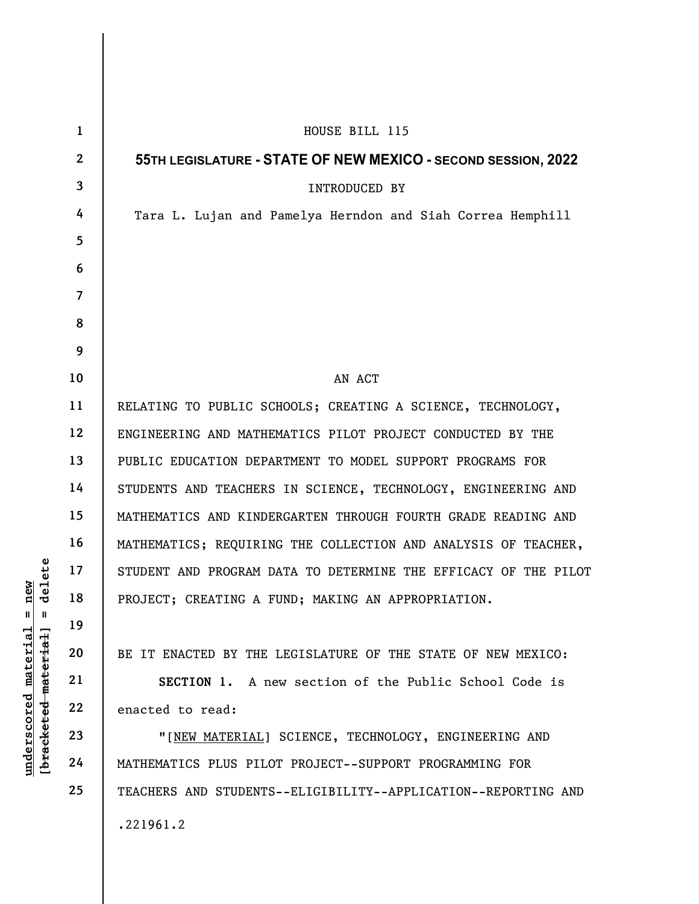|                                                                                        | $\mathbf{1}$    | HOUSE BILL 115                                                  |
|----------------------------------------------------------------------------------------|-----------------|-----------------------------------------------------------------|
|                                                                                        | $\mathbf{2}$    | 55TH LEGISLATURE - STATE OF NEW MEXICO - SECOND SESSION, 2022   |
|                                                                                        | $\mathbf{3}$    | INTRODUCED BY                                                   |
|                                                                                        | 4               | Tara L. Lujan and Pamelya Herndon and Siah Correa Hemphill      |
|                                                                                        | $5\overline{)}$ |                                                                 |
|                                                                                        | 6               |                                                                 |
|                                                                                        | $\overline{7}$  |                                                                 |
|                                                                                        | 8               |                                                                 |
|                                                                                        | 9               |                                                                 |
|                                                                                        | 10              | AN ACT                                                          |
| delete<br>new<br>$\mathsf{II}$<br>Ш<br>material<br>[bracketed material]<br>underscored | 11              | RELATING TO PUBLIC SCHOOLS; CREATING A SCIENCE, TECHNOLOGY,     |
|                                                                                        | 12              | ENGINEERING AND MATHEMATICS PILOT PROJECT CONDUCTED BY THE      |
|                                                                                        | 13              | PUBLIC EDUCATION DEPARTMENT TO MODEL SUPPORT PROGRAMS FOR       |
|                                                                                        | 14              | STUDENTS AND TEACHERS IN SCIENCE, TECHNOLOGY, ENGINEERING AND   |
|                                                                                        | 15              | MATHEMATICS AND KINDERGARTEN THROUGH FOURTH GRADE READING AND   |
|                                                                                        | 16              | MATHEMATICS; REQUIRING THE COLLECTION AND ANALYSIS OF TEACHER,  |
|                                                                                        | 17              | STUDENT AND PROGRAM DATA TO DETERMINE THE EFFICACY OF THE PILOT |
|                                                                                        | 18              | PROJECT; CREATING A FUND; MAKING AN APPROPRIATION.              |
|                                                                                        | 19              |                                                                 |
|                                                                                        | 20              | BE IT ENACTED BY THE LEGISLATURE OF THE STATE OF NEW MEXICO:    |
|                                                                                        | 21              | SECTION 1. A new section of the Public School Code is           |
|                                                                                        | 22              | enacted to read:                                                |
|                                                                                        | 23              | "[NEW MATERIAL] SCIENCE, TECHNOLOGY, ENGINEERING AND            |
|                                                                                        | 24              | MATHEMATICS PLUS PILOT PROJECT--SUPPORT PROGRAMMING FOR         |
|                                                                                        | 25              | TEACHERS AND STUDENTS--ELIGIBILITY--APPLICATION--REPORTING AND  |
|                                                                                        |                 | .221961.2                                                       |
|                                                                                        |                 |                                                                 |

 $\overline{\phantom{a}}$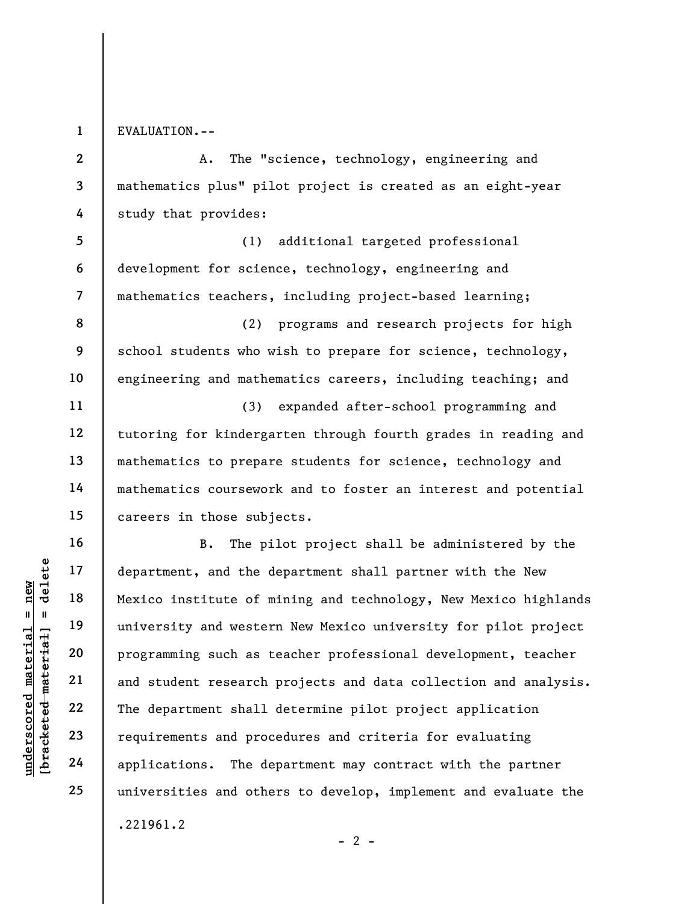1

EVALUATION.--

2 3 4 5 6 7 8 9 10 11 12 13 14 A. The "science, technology, engineering and mathematics plus" pilot project is created as an eight-year study that provides: (1) additional targeted professional development for science, technology, engineering and mathematics teachers, including project-based learning; (2) programs and research projects for high school students who wish to prepare for science, technology, engineering and mathematics careers, including teaching; and (3) expanded after-school programming and tutoring for kindergarten through fourth grades in reading and mathematics to prepare students for science, technology and mathematics coursework and to foster an interest and potential

careers in those subjects.

understand the department, and the department, and the department, and the department of m<br>
interesting and westerned and the department of m<br>
endemonstrate of material programming such as t<br>
and student research<br>
22<br>
T B. The pilot project shall be administered by the department, and the department shall partner with the New Mexico institute of mining and technology, New Mexico highlands university and western New Mexico university for pilot project programming such as teacher professional development, teacher and student research projects and data collection and analysis. The department shall determine pilot project application requirements and procedures and criteria for evaluating applications. The department may contract with the partner universities and others to develop, implement and evaluate the

 $- 2 -$ 

.221961.2

15

16

17

18

19

20

21

22

23

24

25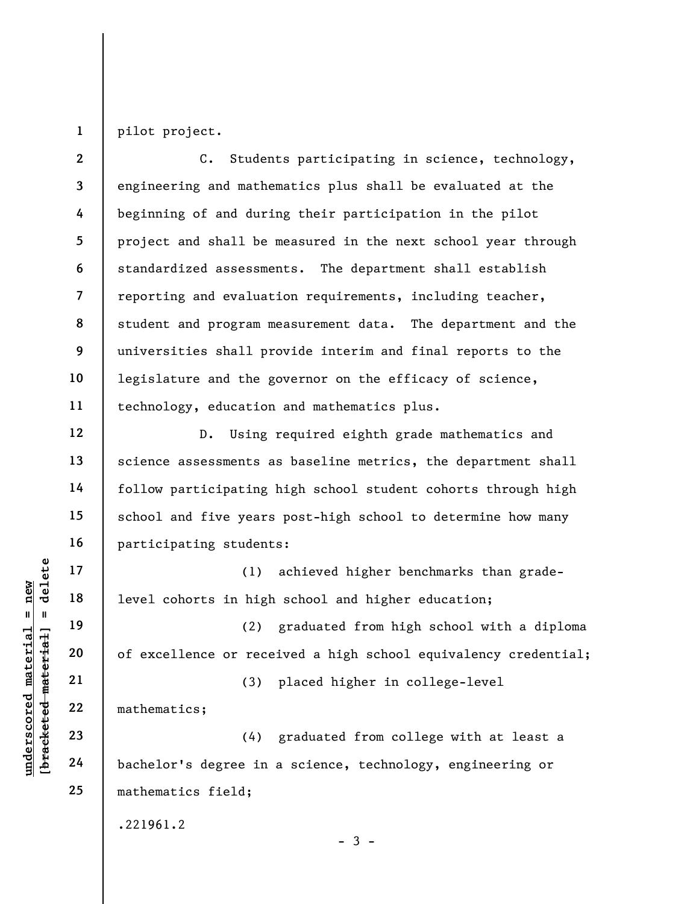1 pilot project.

2 3 4 5 6 7 8 9 10 11 C. Students participating in science, technology, engineering and mathematics plus shall be evaluated at the beginning of and during their participation in the pilot project and shall be measured in the next school year through standardized assessments. The department shall establish reporting and evaluation requirements, including teacher, student and program measurement data. The department and the universities shall provide interim and final reports to the legislature and the governor on the efficacy of science, technology, education and mathematics plus.

D. Using required eighth grade mathematics and science assessments as baseline metrics, the department shall follow participating high school student cohorts through high school and five years post-high school to determine how many participating students:

(1) achieved higher benchmarks than gradelevel cohorts in high school and higher education;

underscored material material and the set of excellence or rece<br>
wedget that a 20 of excellence or rece<br>
wedget with 21 of excellence or rece<br>
22 mathematics;<br>
23 (4)<br>
24 bachelor's degree in (2) graduated from high school with a diploma of excellence or received a high school equivalency credential;

(3) placed higher in college-level

(4) graduated from college with at least a bachelor's degree in a science, technology, engineering or mathematics field;

 $-3 -$ 

.221961.2

mathematics;

12

13

14

15

16

17

18

19

20

21

22

23

24

25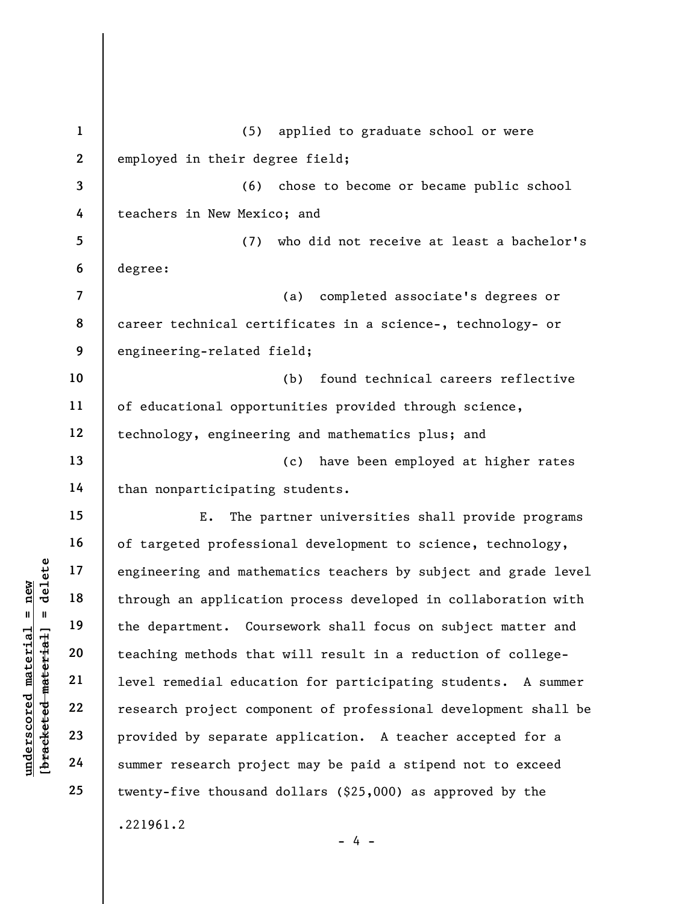understand mathematic engineering and mathemological engineering and mathemological engineering and mathemological engineering the department. Courned all the department. Courned all the department. Courned all the departm 1 2 3 4 5 6 7 8 9 10 11 12 13 14 15 16 17 18 19 20 21 22 23 24 25 (5) applied to graduate school or were employed in their degree field; (6) chose to become or became public school teachers in New Mexico; and (7) who did not receive at least a bachelor's degree: (a) completed associate's degrees or career technical certificates in a science-, technology- or engineering-related field; (b) found technical careers reflective of educational opportunities provided through science, technology, engineering and mathematics plus; and (c) have been employed at higher rates than nonparticipating students. E. The partner universities shall provide programs of targeted professional development to science, technology, engineering and mathematics teachers by subject and grade level through an application process developed in collaboration with the department. Coursework shall focus on subject matter and teaching methods that will result in a reduction of collegelevel remedial education for participating students. A summer research project component of professional development shall be provided by separate application. A teacher accepted for a summer research project may be paid a stipend not to exceed twenty-five thousand dollars (\$25,000) as approved by the .221961.2 - 4 -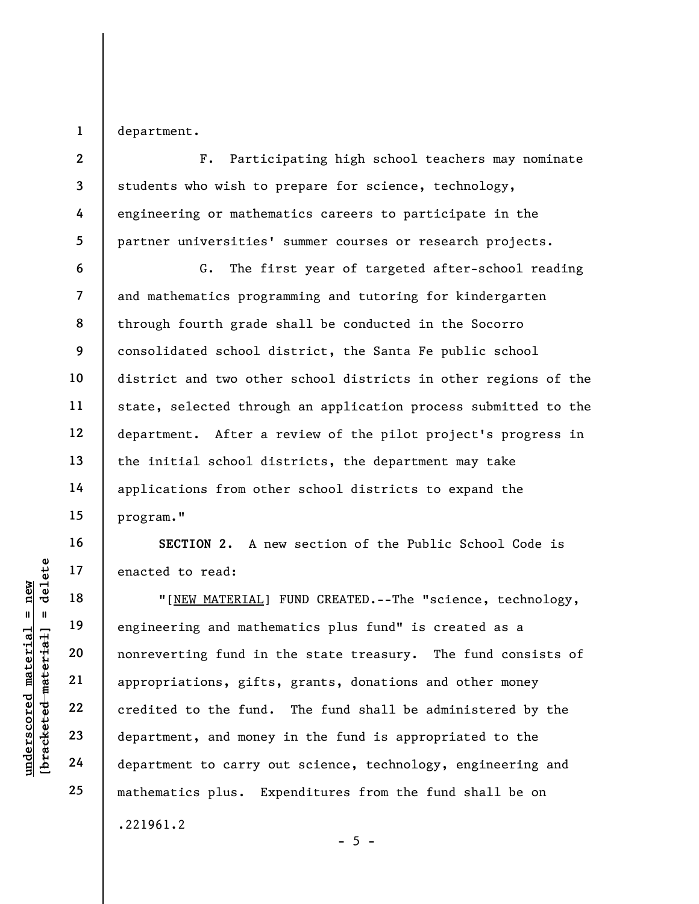1 department.

4

2 3 5 F. Participating high school teachers may nominate students who wish to prepare for science, technology, engineering or mathematics careers to participate in the partner universities' summer courses or research projects.

6 7 8 9 10 11 12 13 14 15 G. The first year of targeted after-school reading and mathematics programming and tutoring for kindergarten through fourth grade shall be conducted in the Socorro consolidated school district, the Santa Fe public school district and two other school districts in other regions of the state, selected through an application process submitted to the department. After a review of the pilot project's progress in the initial school districts, the department may take applications from other school districts to expand the program."

SECTION 2. A new section of the Public School Code is enacted to read:

under 17<br>
= 18<br>
= 18<br>
= 19<br>
= 19<br>
= 19<br>
= 19<br>
= 19<br>
= 19<br>
= 19<br>
= 19<br>
= 19<br>
= 19<br>
= 19<br>
= 19<br>
= 19<br>
= 19<br>
= 19<br>
= 19<br>
= 19<br>
= 19<br>
= 19<br>
= 19<br>
= 19<br>
= 19<br>
= 19<br>
= 19<br>
= 19<br>
= 19<br>
= 19<br>
= 19<br>
= 19<br>
= 19<br>
= 19<br>
= 19<br>
= 19<br>
= "[NEW MATERIAL] FUND CREATED.--The "science, technology, engineering and mathematics plus fund" is created as a nonreverting fund in the state treasury. The fund consists of appropriations, gifts, grants, donations and other money credited to the fund. The fund shall be administered by the department, and money in the fund is appropriated to the department to carry out science, technology, engineering and mathematics plus. Expenditures from the fund shall be on .221961.2

16

17

18

19

20

21

22

23

24

25

 $- 5 -$